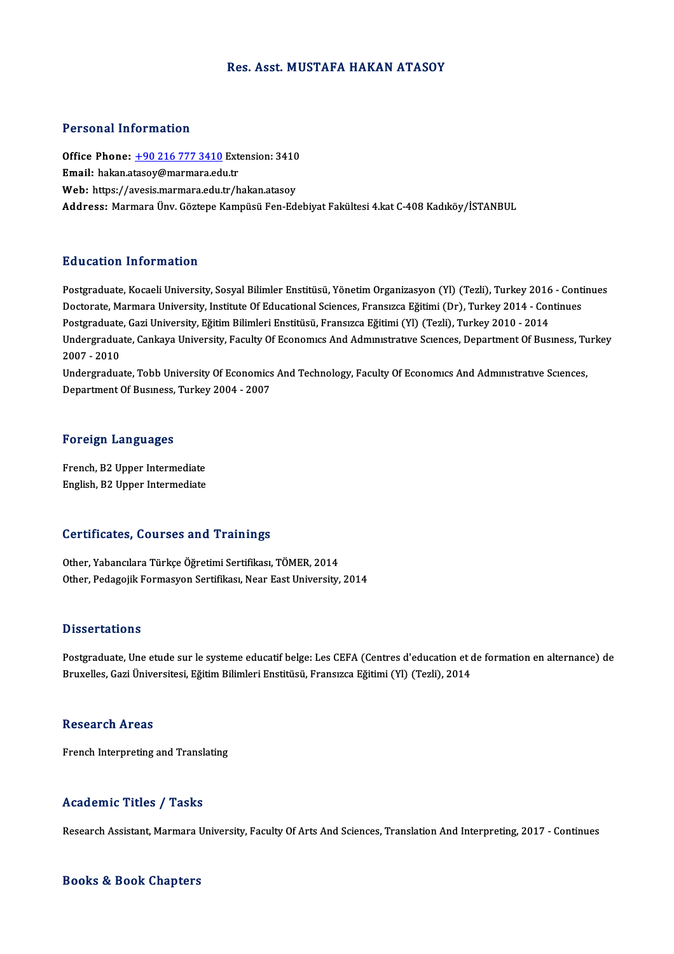### Res. Asst. MUSTAFA HAKAN ATASOY

### Personal Information

Personal Information<br>Office Phone: <u>+90 216 777 3410</u> Extension: 3410<br>Email: bakan atasay@marmara.edu.tr Procedular Machinetteri<br>Office Phone: <u>+90 216 777 3410</u> Ext<br>Email: hakan.a[tasoy@marmara.ed](tel:+90 216 777 3410)u.tr Office Phone: <u>+90 216 777 3410</u> Extension: 3410<br>Email: hakan.atasoy@marmara.edu.tr<br>Web: https://avesis.marmara.edu.tr/hakan.atasoy<br>Address. Marmara Ünu Cöstene Kamnüsü Een Ed. Email: hakan.atasoy@marmara.edu.tr<br>Web: https://avesis.marmara.edu.tr/hakan.atasoy<br>Address: Marmara Ünv. Göztepe Kampüsü Fen-Edebiyat Fakültesi 4.kat C-408 Kadıköy/İSTANBUL

### Education Information

**Education Information**<br>Postgraduate, Kocaeli University, Sosyal Bilimler Enstitüsü, Yönetim Organizasyon (Yl) (Tezli), Turkey 2016 - Continues<br>Postarate Marmara University, Institute Of Educational Sciences Eransuce Eğiti Du u cucron Timot Inucron<br>Postgraduate, Kocaeli University, Sosyal Bilimler Enstitüsü, Yönetim Organizasyon (Yl) (Tezli), Turkey 2016 - Conti<br>Doctorate, Marmara University, Institute Of Educational Sciences, Fransızca Eğit Postgraduate, Kocaeli University, Sosyal Bilimler Enstitüsü, Yönetim Organizasyon (Yl) (Tezli), Turkey 2016<br>Doctorate, Marmara University, Institute Of Educational Sciences, Fransızca Eğitimi (Dr), Turkey 2014 - Con<br>Postgr Doctorate, Marmara University, Institute Of Educational Sciences, Fransızca Eğitimi (Dr), Turkey 2014 - Continues<br>Postgraduate, Gazi University, Eğitim Bilimleri Enstitüsü, Fransızca Eğitimi (Yl) (Tezli), Turkey 2010 - 201 Postgraduate, Gazi University, Eğitim Bilimleri Enstitüsü, Fransızca Eğitimi (Yl) (Tezli), Turkey 2010 - 2014<br>Undergraduate, Cankaya University, Faculty Of Economics And Administrative Sciences, Department Of Bus<br>2007 - 20 Undergraduate, Cankaya University, Faculty Of Economics And Administrative Sciences, Department Of Business, Tu<br>2007 - 2010<br>Undergraduate, Tobb University Of Economics And Technology, Faculty Of Economics And Administrativ

Undergraduate, Tobb University Of Economics And Technology, Faculty Of Economics And Administrative Sciences,<br>Department Of Business, Turkey 2004 - 2007

### Foreign Languages

French,B2Upper Intermediate English,B2Upper Intermediate

### Certificates, Courses and Trainings

Other, Yabancılara Türkçe Öğretimi Sertifikası, TÖMER, 2014 Other, Pedagojik Formasyon Sertifikası, Near East University, 2014

### **Dissertations**

Postgraduate, Une etude sur le systeme educatif belge: Les CEFA (Centres d'education et de formation en alternance) de Bruxelles, Gazi Üniversitesi, Eğitim Bilimleri Enstitüsü, Fransızca Eğitimi (Yl) (Tezli), 2014

### **Research Areas**

French Interpreting and Translating

## Academic Titles / Tasks

Research Assistant, Marmara University, Faculty Of Arts And Sciences, Translation And Interpreting, 2017 - Continues

### Books&Book Chapters